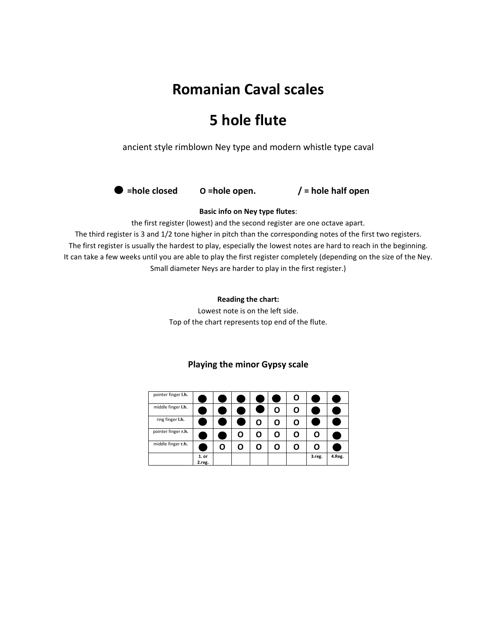# **Romanian Caval scales**

## **5 hole flute**

ancient style rimblown Ney type and modern whistle type caval



#### **Basic info on Ney type flutes**:

the first register (lowest) and the second register are one octave apart.

The third register is 3 and 1/2 tone higher in pitch than the corresponding notes of the first two registers. The first register is usually the hardest to play, especially the lowest notes are hard to reach in the beginning. It can take a few weeks until you are able to play the first register completely (depending on the size of the Ney. Small diameter Neys are harder to play in the first register.)

#### **Reading the chart:**

Lowest note is on the left side. Top of the chart represents top end of the flute.

| pointer finger I.h. |                   |   |  |   | O |        |        |
|---------------------|-------------------|---|--|---|---|--------|--------|
| middle finger I.h.  |                   |   |  | O | O |        |        |
| ring finger I.h.    |                   |   |  | O | Ο |        |        |
| pointer finger r.h. |                   |   |  | U | O | O      |        |
| middle finger r.h.  |                   | ο |  | U | 0 | O      |        |
|                     | $1.$ or<br>2.reg. |   |  |   |   | 3.reg. | 4.Reg. |

#### **Playing the minor Gypsy scale**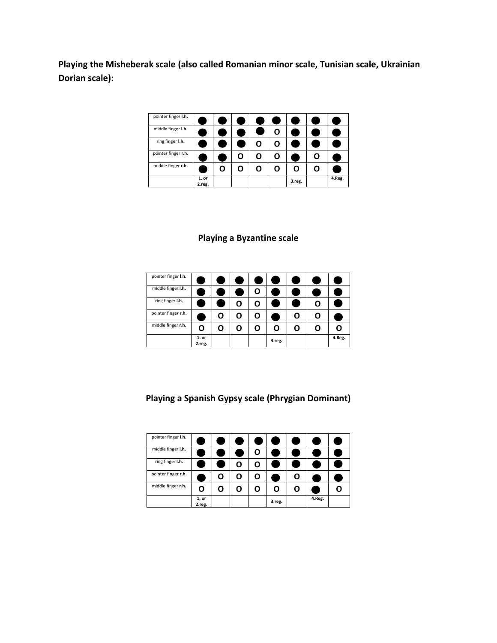**Playing the Misheberak scale (also called Romanian minor scale, Tunisian scale, Ukrainian Dorian scale):**

| pointer finger I.h. |                   |   |   |   |   |        |        |
|---------------------|-------------------|---|---|---|---|--------|--------|
| middle finger I.h.  |                   |   |   |   | O |        |        |
| ring finger I.h.    |                   |   |   | O | O |        |        |
| pointer finger r.h. |                   |   | O | O | O |        |        |
| middle finger r.h.  |                   | U | O |   | O |        |        |
|                     | $1.$ or<br>2.reg. |   |   |   |   | 3.reg. | 4.Reg. |

### **Playing a Byzantine scale**

| pointer finger I.h. |                   |  |   |        |   |        |
|---------------------|-------------------|--|---|--------|---|--------|
| middle finger I.h.  |                   |  | u |        |   |        |
| ring finger I.h.    |                   |  |   |        |   |        |
| pointer finger r.h. |                   |  | U |        | O |        |
| middle finger r.h.  | O                 |  |   | Ω      | 0 |        |
|                     | $1.$ or<br>2.reg. |  |   | 3.reg. |   | 4.Reg. |

**Playing a Spanish Gypsy scale (Phrygian Dominant)**

| pointer finger I.h. |                   |   |   |   |        |   |        |  |
|---------------------|-------------------|---|---|---|--------|---|--------|--|
| middle finger I.h.  |                   |   |   | u |        |   |        |  |
| ring finger I.h.    |                   |   |   |   |        |   |        |  |
| pointer finger r.h. |                   | U | O | U |        | O |        |  |
| middle finger r.h.  | O                 | 0 |   |   | O      | O |        |  |
|                     | $1.$ or<br>2.reg. |   |   |   | 3.reg. |   | 4.Reg. |  |